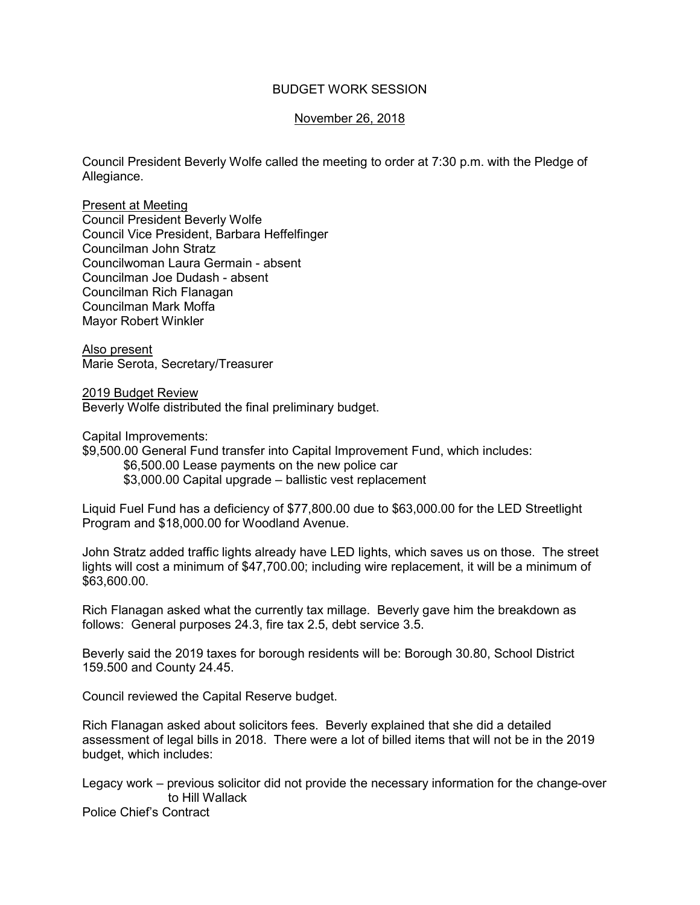## BUDGET WORK SESSION

## November 26, 2018

Council President Beverly Wolfe called the meeting to order at 7:30 p.m. with the Pledge of Allegiance.

Present at Meeting Council President Beverly Wolfe Council Vice President, Barbara Heffelfinger Councilman John Stratz Councilwoman Laura Germain - absent Councilman Joe Dudash - absent Councilman Rich Flanagan Councilman Mark Moffa Mayor Robert Winkler

Also present Marie Serota, Secretary/Treasurer

2019 Budget Review Beverly Wolfe distributed the final preliminary budget.

Capital Improvements:

\$9,500.00 General Fund transfer into Capital Improvement Fund, which includes: \$6,500.00 Lease payments on the new police car \$3,000.00 Capital upgrade – ballistic vest replacement

Liquid Fuel Fund has a deficiency of \$77,800.00 due to \$63,000.00 for the LED Streetlight Program and \$18,000.00 for Woodland Avenue.

John Stratz added traffic lights already have LED lights, which saves us on those. The street lights will cost a minimum of \$47,700.00; including wire replacement, it will be a minimum of \$63,600.00.

Rich Flanagan asked what the currently tax millage. Beverly gave him the breakdown as follows: General purposes 24.3, fire tax 2.5, debt service 3.5.

Beverly said the 2019 taxes for borough residents will be: Borough 30.80, School District 159.500 and County 24.45.

Council reviewed the Capital Reserve budget.

Rich Flanagan asked about solicitors fees. Beverly explained that she did a detailed assessment of legal bills in 2018. There were a lot of billed items that will not be in the 2019 budget, which includes:

Legacy work – previous solicitor did not provide the necessary information for the change-over to Hill Wallack

Police Chief's Contract